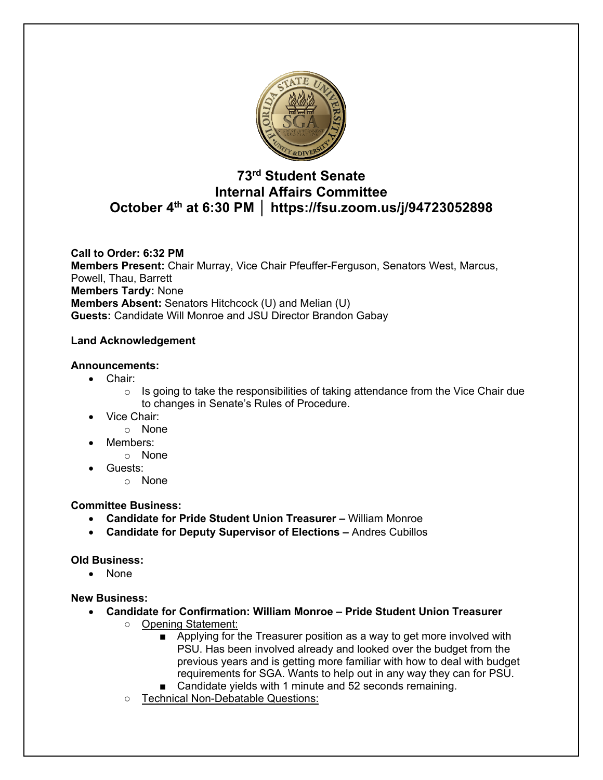

# **73rd Student Senate Internal Affairs Committee October 4th at 6:30 PM │ https://fsu.zoom.us/j/94723052898**

**Call to Order: 6:32 PM Members Present:** Chair Murray, Vice Chair Pfeuffer-Ferguson, Senators West, Marcus, Powell, Thau, Barrett **Members Tardy:** None **Members Absent:** Senators Hitchcock (U) and Melian (U) **Guests:** Candidate Will Monroe and JSU Director Brandon Gabay

## **Land Acknowledgement**

## **Announcements:**

- Chair:
	- $\circ$  Is going to take the responsibilities of taking attendance from the Vice Chair due to changes in Senate's Rules of Procedure.
- Vice Chair:
	- o None
- Members:
	- o None
- Guests:
	- o None

#### **Committee Business:**

- **Candidate for Pride Student Union Treasurer –** William Monroe
- **Candidate for Deputy Supervisor of Elections –** Andres Cubillos

#### **Old Business:**

• None

**New Business:**

- **Candidate for Confirmation: William Monroe – Pride Student Union Treasurer**
	- Opening Statement:
		- Applying for the Treasurer position as a way to get more involved with PSU. Has been involved already and looked over the budget from the previous years and is getting more familiar with how to deal with budget requirements for SGA. Wants to help out in any way they can for PSU.
		- Candidate yields with 1 minute and 52 seconds remaining.
	- Technical Non-Debatable Questions: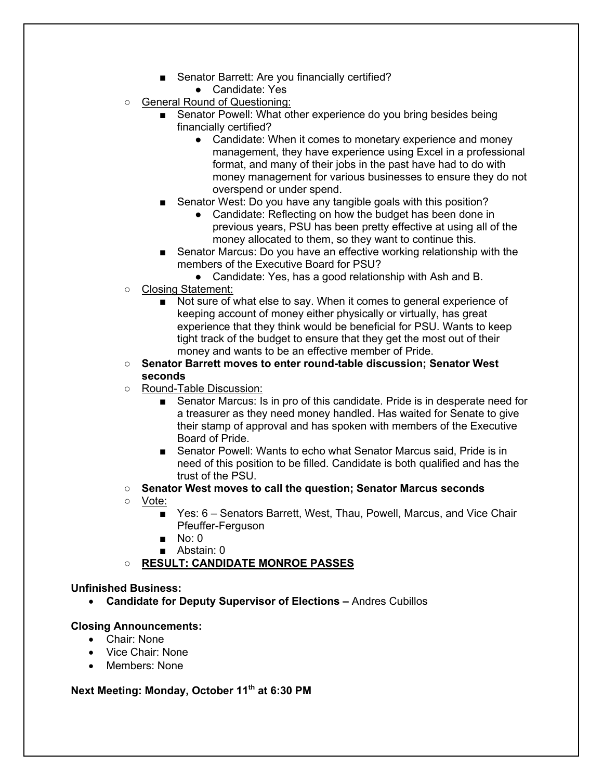- Senator Barrett: Are you financially certified?
	- Candidate: Yes
- General Round of Questioning:
	- Senator Powell: What other experience do you bring besides being financially certified?
		- Candidate: When it comes to monetary experience and money management, they have experience using Excel in a professional format, and many of their jobs in the past have had to do with money management for various businesses to ensure they do not overspend or under spend.
	- Senator West: Do you have any tangible goals with this position?
		- Candidate: Reflecting on how the budget has been done in previous years, PSU has been pretty effective at using all of the money allocated to them, so they want to continue this.
	- Senator Marcus: Do you have an effective working relationship with the members of the Executive Board for PSU?
		- Candidate: Yes, has a good relationship with Ash and B.
- Closing Statement:
	- Not sure of what else to say. When it comes to general experience of keeping account of money either physically or virtually, has great experience that they think would be beneficial for PSU. Wants to keep tight track of the budget to ensure that they get the most out of their money and wants to be an effective member of Pride.
- **Senator Barrett moves to enter round-table discussion; Senator West seconds**
- Round-Table Discussion:
	- Senator Marcus: Is in pro of this candidate. Pride is in desperate need for a treasurer as they need money handled. Has waited for Senate to give their stamp of approval and has spoken with members of the Executive Board of Pride.
	- Senator Powell: Wants to echo what Senator Marcus said, Pride is in need of this position to be filled. Candidate is both qualified and has the trust of the PSU.
- **Senator West moves to call the question; Senator Marcus seconds**
- Vote:
	- Yes: 6 Senators Barrett, West, Thau, Powell, Marcus, and Vice Chair Pfeuffer-Ferguson
	- $\blacksquare$  No: 0
	- Abstain: 0
- **RESULT: CANDIDATE MONROE PASSES**

## **Unfinished Business:**

• **Candidate for Deputy Supervisor of Elections –** Andres Cubillos

## **Closing Announcements:**

- Chair: None
- Vice Chair: None
- Members: None

### **Next Meeting: Monday, October 11th at 6:30 PM**